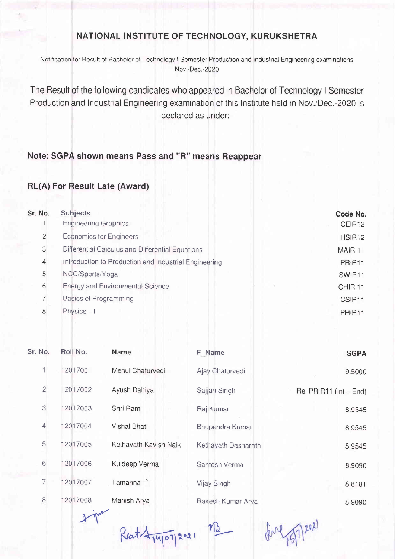## NATIONAL INSTITUTE OF TECHNOLOGY, KURUKSHETRA

Notification for Result of Bachelor of Technology I Semester Production and Industrial Engineering examinations Nov./Dec.-2020

The Result of the following candidates who appeared in Bachelor of Technology I Semester Production and lndustrial Engineering examination of this lnstitute held in Nov./Dec.-2020 is declared as under:-

## Note: SGPA shown means Pass and "R" means Reappear

## RL(A) For Result Late (Award)

| Sr. No.        | <b>Subjects</b>                                       | Code No.           |
|----------------|-------------------------------------------------------|--------------------|
|                | <b>Engineering Graphics</b>                           | CEIR12             |
| $\overline{c}$ | <b>Economics for Engineers</b>                        | HSIR <sub>12</sub> |
| 3              | Differential Calculus and Differential Equations      | MAIR <sub>11</sub> |
| 4              | Introduction to Production and Industrial Engineering | PRIR11             |
| 5              | NCC/Sports/Yoga                                       | SWIR11             |
| 6              | <b>Energy and Environmental Science</b>               | CHIR <sub>11</sub> |
|                | Basics of Programming                                 | CSIR11             |
| 8              | Physics $-1$                                          | PHIR <sub>11</sub> |
|                |                                                       |                    |

| Sr. No.          | Roll No. | <b>Name</b>           | F Name                  | <b>SGPA</b>                |
|------------------|----------|-----------------------|-------------------------|----------------------------|
|                  | 12017001 | Mehul Chaturvedi      | Ajay Chaturvedi         | 9.5000                     |
| $\overline{c}$   | 12017002 | Ayush Dahiya          | Sajjan Singh            | Re. PRIR11 ( $Int + End$ ) |
| $\mathcal{S}$    | 12017003 | Shri Ram              | Raj Kumar               | 8.9545                     |
| $\overline{4}$   | 12017004 | Vishal Bhati          | Bhupendra Kumar         | 8.9545                     |
| 5                | 12017005 | Kethavath Kavish Naik | Kethavath Dasharath     | 8.9545                     |
| $6\,$            | 12017006 | Kuldeep Verma         | Santosh Verma           | 8.9090                     |
| 7                | 12017007 | Tamanna               | Vijay Singh             | 8.8181                     |
| $\boldsymbol{8}$ | 12017008 | Manish Arya           | Rakesh Kumar Arya       | 8.9090                     |
|                  |          |                       | $\mathbb{R}$ $\wedge$ 0 |                            |

 $R$ at  $4\frac{1}{14101}$  2021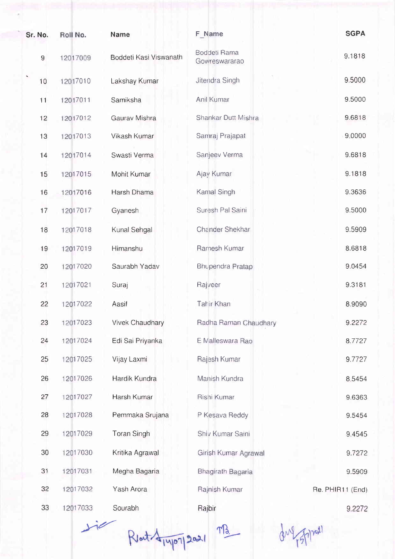| Sr. No. |                  | Roll No. | <b>Name</b>            | F Name                        | <b>SGPA</b>      |
|---------|------------------|----------|------------------------|-------------------------------|------------------|
|         | $\boldsymbol{9}$ | 12017009 | Boddeti Kasi Viswanath | Boddeti Rama<br>Gowreswararao | 9.1818           |
|         | 10               | 12017010 | Lakshay Kumar          | Jitendra Singh                | 9.5000           |
|         | 11               | 12017011 | Samiksha               | Anil Kumar                    | 9.5000           |
|         | 12               | 12017012 | Gaurav Mishra          | Shankar Dutt Mishra           | 9.6818           |
|         | 13               | 12017013 | Vikash Kumar           | Samraj Prajapat               | 9.0000           |
|         | 14               | 12017014 | Swasti Verma           | Sanjeev Verma                 | 9.6818           |
|         | 15               | 12017015 | Mohit Kumar            | Ajay Kumar                    | 9.1818           |
|         | 16               | 12017016 | Harsh Dhama            | Kamal Singh                   | 9.3636           |
|         | 17               | 12017017 | Gyanesh                | Suresh Pal Saini              | 9.5000           |
|         | 18               | 12017018 | Kunal Sehgal           | Chander Shekhar               | 9.5909           |
|         | 19               | 12017019 | Himanshu               | Ramesh Kumar                  | 8.6818           |
|         | 20               | 12017020 | Saurabh Yadav          | <b>Bhupendra Pratap</b>       | 9.0454           |
|         | 21               | 12017021 | Suraj                  | Rajveer                       | 9.3181           |
|         | 22               | 12017022 | Aasif                  | Tahir Khan                    | 8.9090           |
|         | 23               | 12017023 | Vivek Chaudhary        | Radha Raman Chaudhary         | 9.2272           |
|         | 24               | 12017024 | Edi Sai Priyanka       | E Malleswara Rao              | 8.7727           |
|         | 25               | 12017025 | Vijay Laxmi            | Rajesh Kumar                  | 9.7727           |
|         | 26               | 12017026 | Hardik Kundra          | Manish Kundra                 | 8.5454           |
|         | 27               | 12017027 | Harsh Kumar            | Rishi Kumar                   | 9.6363           |
|         | 28               | 12017028 | Pemmaka Srujana        | P Kesava Reddy                | 9.5454           |
|         | 29               | 12017029 | <b>Toran Singh</b>     | Shiv Kumar Saini              | 9.4545           |
|         | 30               | 12017030 | Kritika Agrawal        | Girish Kumar Agrawal          | 9.7272           |
|         | 31               | 12017031 | Megha Bagaria          | Bhagirath Bagaria             | 9.5909           |
|         | 32               | 12017032 | Yash Arora             | Rajnish Kumar                 | Re. PHIR11 (End) |
|         | 33               | 12017033 | Sourabh                | Rajbir                        | 9.2272           |

Rout 4/4/07/2021 MB due 75/7/2021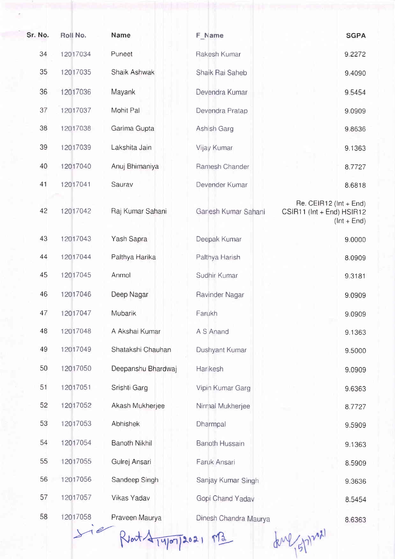| Sr. No. | Roll No. | <b>Name</b>          | F Name                | <b>SGPA</b>                                                               |
|---------|----------|----------------------|-----------------------|---------------------------------------------------------------------------|
| 34      | 12017034 | Puneet               | Rakesh Kumar          | 9.2272                                                                    |
| 35      | 12017035 | Shaik Ashwak         | Shaik Rai Saheb       | 9.4090                                                                    |
| 36      | 12017036 | Mayank               | Devendra Kumar        | 9.5454                                                                    |
| 37      | 12017037 | Mohit Pal            | Devendra Pratap       | 9.0909                                                                    |
| 38      | 12017038 | Garima Gupta         | Ashish Garg           | 9.8636                                                                    |
| 39      | 12017039 | Lakshita Jain        | Vijay Kumar           | 9.1363                                                                    |
| 40      | 12017040 | Anuj Bhimaniya       | Ramesh Chander        | 8.7727                                                                    |
| 41      | 12017041 | Saurav               | Devender Kumar        | 8.6818                                                                    |
| 42      | 12017042 | Raj Kumar Sahani     | Ganesh Kumar Sahani   | Re. CEIR12 ( $Int + End$ )<br>CSIR11 (Int + End) HSIR12<br>$ (Int + End)$ |
| 43      | 12017043 | Yash Sapra           | Deepak Kumar          | 9.0000                                                                    |
| 44      | 12017044 | Palthya Harika       | Palthya Harish        | 8.0909                                                                    |
| 45      | 12017045 | Anmol                | Sudhir Kumar          | 9.3181                                                                    |
| 46      | 12017046 | Deep Nagar           | Ravinder Nagar        | 9.0909                                                                    |
| 47      | 12017047 | Mubarik              | Farukh                | 9.0909                                                                    |
| 48      | 12017048 | A Akshai Kumar       | A S Anand             | 9.1363                                                                    |
| 49      | 12017049 | Shatakshi Chauhan    | Dushyant Kumar        | 9.5000                                                                    |
| 50      | 12017050 | Deepanshu Bhardwaj   | Har kesh              | 9.0909                                                                    |
| 51      | 12017051 | Srishti Garg         | Vipin Kumar Garg      | 9.6363                                                                    |
| 52      | 12017052 | Akash Mukherjee      | Nirmal Mukherjee      | 8.7727                                                                    |
| 53      | 12017053 | <b>Abhishek</b>      | Dharmpal              | 9.5909                                                                    |
| 54      | 12017054 | <b>Banoth Nikhil</b> | <b>Banoth Hussain</b> | 9.1363                                                                    |
| 55      | 12017055 | Gulrej Ansari        | Faruk Ansari          | 8.5909                                                                    |
| 56      | 12017056 | Sandeep Singh        | Sanjay Kumar Singh    | 9.3636                                                                    |
| 57      | 12017057 | Vikas Yadav          | Gopi Chand Yadav      | 8.5454                                                                    |
| 58      | 12017058 | Praveen Maurya       | Dinesh Chandra Maurya | 8.6363                                                                    |
|         |          |                      |                       |                                                                           |

 $R$  at  $\frac{1}{4\cdot1000}$  2021  $M_{\odot}$ 

due (5/12021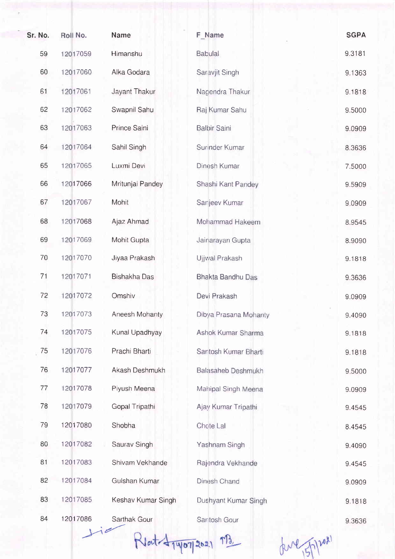| Sr. No. | Roll No. | Name                | F Name                   | <b>SGPA</b> |
|---------|----------|---------------------|--------------------------|-------------|
| 59      | 12017059 | Himanshu            | <b>Babulal</b>           | 9.3181      |
| 60      | 12017060 | Alka Godara         | Saravjit Singh           | 9.1363      |
| 61      | 12017061 | Jayant Thakur       | Nagendra Thakur          | 9.1818      |
| 62      | 12017062 | Swapnil Sahu        | Raj Kumar Sahu           | 9.5000      |
| 63      | 12017063 | Prince Saini        | <b>Balbir Saini</b>      | 9.0909      |
| 64      | 12017064 | Sahil Singh         | Surinder Kumar           | 8.3636      |
| 65      | 12017065 | Luxmi Devi          | Dinesh Kumar             | 7.5000      |
| 66      | 12017066 | Mritunjai Pandey    | Shashi Kant Pandey       | 9.5909      |
| 67      | 12017067 | Mohit               | Sanjeev Kumar            | 9.0909      |
| 68      | 12017068 | Ajaz Ahmad          | Mohammad Hakeem          | 8.9545      |
| 69      | 12017069 | Mohit Gupta         | Jainarayan Gupta         | 8.9090      |
| 70      | 12017070 | Jiyaa Prakash       | Ujjwal Prakash           | 9.1818      |
| 71      | 12017071 | <b>Bishakha Das</b> | <b>Bhakta Bandhu Das</b> | 9.3636      |
| 72      | 12017072 | Omshiv              | Devi Prakash             | 9.0909      |
| 73      | 12017073 | Aneesh Mohanty      | Dibya Prasana Mohanty    | 9.4090      |
| 74      | 12017075 | Kunal Upadhyay      | Ashok Kumar Sharma       | 9.1818      |
| 75      | 12017076 | Prachi Bharti       | Santosh Kumar Bharti     | 9.1818      |
| 76      | 12017077 | Akash Deshmukh      | Balasaheb Deshmukh       | 9.5000      |
| 77      | 12017078 | Piyush Meena        | Mahipal Singh Meena      | 9.0909      |
| 78      | 12017079 | Gopal Tripathi      | Ajay Kumar Tripathi      | 9.4545      |
| 79      | 12017080 | Shobha              | Chote Lal                | 8.4545      |
| 80      | 12017082 | Saurav Singh        | Yashnam Singh            | 9.4090      |
| 81      | 12017083 | Shivam Vekhande     | Rajendra Vekhande        | 9.4545      |
| 82      | 12017084 | Gulshan Kumar       | Dinesh Chand             | 9.0909      |
| 83      | 12017085 | Keshav Kumar Singh  | Dushyant Kumar Singh     | 9.1818      |
| 84      | 12017086 | Sarthak Gour        | Santosh Gour             | 9.3636      |
|         |          |                     |                          |             |

Rlat-Agyon 2021 MB

due 5/12021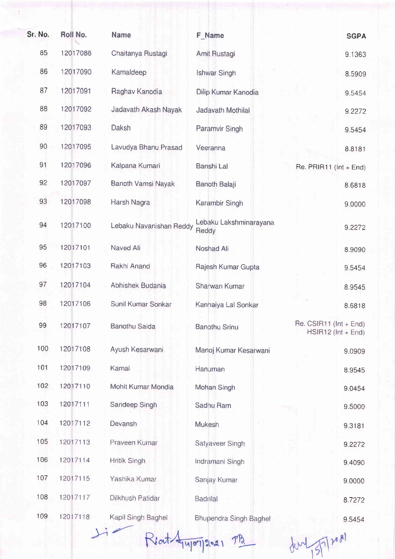| Sr. No. | Roll No. | <b>Name</b>               | F Name                          | <b>SGPA</b>                                            |
|---------|----------|---------------------------|---------------------------------|--------------------------------------------------------|
| 85      | 12017088 | Chaitanya Rustagi         | Amit Rustagi                    | 9.1363                                                 |
| 86      | 12017090 | Kamaldeep                 | <b>Ishwar Singh</b>             | 8.5909                                                 |
| 87      | 12017091 | Raghav Kanodia            | Dilip Kumar Kanodia             | 9.5454                                                 |
| 88      | 12017092 | Jadavath Akash Nayak      | Jadavath Mothilal               | 9.2272                                                 |
| 89      | 12017093 | Daksh                     | Paramvir Singh                  | 9.5454                                                 |
| 90      | 12017095 | Lavudya Bhanu Prasad      | Veeranna                        | 8.8181                                                 |
| 91      | 12017096 | Kalpana Kumari            | Banshi Lal                      | Re. $PRIR11$ ( $Int + End$ )                           |
| 92      | 12017097 | <b>Banoth Vamsi Nayak</b> | <b>Banoth Balaji</b>            | 8.6818                                                 |
| 93      | 12017098 | Harsh Nagra               | Karambir Singh                  | 9.0000                                                 |
| 94      | 12017100 | Lebaku Navanishan Reddy   | Lebaku Lakshminarayana<br>Reddy | 9.2272                                                 |
| 95      | 12017101 | Naved Ali                 | Noshad Ali                      | 8.9090                                                 |
| 96      | 12017103 | Rakhi Anand               | Rajesh Kumar Gupta              | 9.5454                                                 |
| 97      | 12017104 | Abhishek Budania          | Sharwan Kumar                   | 8.9545                                                 |
| 98      | 12017106 | Sunil Kumar Sonkar        | Kanhaiya Lal Sonkar             | 8.6818                                                 |
| 99      | 12017107 | <b>Banothu Saida</b>      | <b>Banothu Srinu</b>            | Re. CSIR11 ( $Int + End$ )<br>$HSIR12$ ( $Int + End$ ) |
| 100     | 12017108 | Ayush Kesarwani           | Manoj Kumar Kesarwani           | 9.0909                                                 |
| 101     | 12017109 | Kamal                     | Hanuman                         | 8.9545                                                 |
| 102     | 12017110 | Mohit Kumar Mondia        | Mohan Singh                     | 9.0454                                                 |
| 103     | 12017111 | Sandeep Singh             | Sadhu Ram                       | 9.5000                                                 |
| 104     | 12017112 | Devansh                   | Mukesh                          | 9.3181                                                 |
| 105     | 12017113 | Praveen Kumar             | Satyaveer Singh                 | 9.2272                                                 |
| 106     | 12017114 | Hritik Singh              | Indramani Singh                 | 9.4090                                                 |
| 107     | 12017115 | Yashika Kumar             | Sanjay Kumar                    | 9.0000                                                 |
| 108     | 12017117 | Dilkhush Patidar          | <b>Badrilal</b>                 | 8.7272                                                 |
| 109     | 12017118 | Kapil Singh Baghel        | <b>Bhupendra Singh Baghel</b>   | 9.5454                                                 |

Reat- Anyon 50-21 MB

dent 5/7/2081